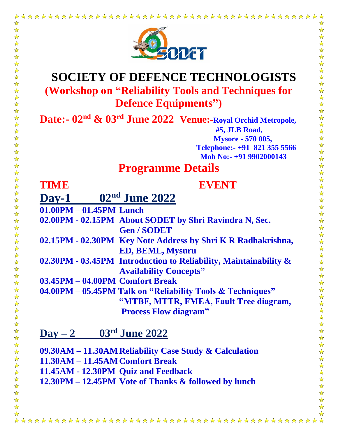

# **SOCIETY OF DEFENCE TECHNOLOGISTS (Workshop on "Reliability Tools and Techniques for Defence Equipments")**

**Date:- 02nd & 03rd June 2022 Venue:-Royal Orchid Metropole, #5, JLB Road, Mysore - 570 005, Telephone:- +91 821 355 5566 Mob No:- +91 9902000143**

## **Programme Details**

## **TIME EVENT**

☆ ☆

 $\frac{\lambda}{\lambda}$ 

 $\frac{1}{\mathbf{k}}$ 冷冷

 $\frac{1}{\mathcal{N}}$ 2个2个

 $\frac{1}{\mathbf{k}}$ 

 $\frac{1}{\sqrt{2}}$ 

 $\frac{\lambda}{\lambda}$ 

 $\frac{1}{\lambda}$ 

 $\frac{1}{\sqrt{2}}$ 

译译

 $\frac{1}{2}$ 

 $\frac{1}{2}$ 

 $\frac{1}{\sqrt{2}}$ 

 $\frac{1}{2}$ 

 $\frac{1}{2}$ 

 $\frac{1}{N}$  $\frac{\lambda}{\lambda}$ 

 $\frac{1}{\sqrt{2}}$  $\frac{1}{\sqrt{2}}$ 

5个2个;

 $\frac{1}{\sqrt{2}}$ 

 $\frac{1}{\mathbf{k}^{\prime}}$ 

☆

 $\frac{1}{2}$  $\frac{1}{2}$ 

 $\frac{\lambda}{\lambda}$ 

 $\frac{\lambda}{\lambda}$ 

 $\frac{\lambda}{\lambda}$  $\frac{1}{\sqrt{2}}$ 

 $\frac{1}{\mathbf{k}}$ 

 $\frac{1}{\sqrt{2}}$ 

 $\frac{1}{\sqrt{2}}$  $\frac{1}{\sqrt{2}}$ 

 $\frac{1}{\mathbf{k}}$  $\frac{1}{\sqrt{2}}$ 

 $\frac{\lambda}{\lambda}$ 

 $\frac{1}{\sqrt{2}}$  $\frac{1}{\lambda}$ 

 $\frac{1}{\sqrt{2}}$ 

 $\frac{1}{\mathcal{N}}$ 

琴琴

 $\frac{1}{\sqrt{2}}$ 

 $\frac{1}{\mathbf{k}}$ 

 $\frac{1}{\sqrt{2}}$ 

公公公公

 $\frac{1}{\sqrt{2}}$ 

**Day-1 02nd June 2022**

**01.00PM – 01.45PM Lunch** 

**02.00PM - 02.15PM About SODET by Shri Ravindra N, Sec. Gen / SODET** 

- **02.15PM - 02.30PM Key Note Address by Shri K R Radhakrishna, ED, BEML, Mysuru**
- **02.30PM - 03.45PM Introduction to Reliability, Maintainability & Availability Concepts"**
- **03.45PM – 04.00PM Comfort Break**

**04.00PM – 05.45PM Talk on "Reliability Tools & Techniques" "MTBF, MTTR, FMEA, Fault Tree diagram, Process Flow diagram"**

## **Day – 2 03rd June 2022**

**09.30AM – 11.30AMReliability Case Study & Calculation** 

**11.30AM – 11.45AMComfort Break** 

**11.45AM - 12.30PM Quiz and Feedback** 

**12.30PM – 12.45PM Vote of Thanks & followed by lunch** 

 $\frac{1}{2}$